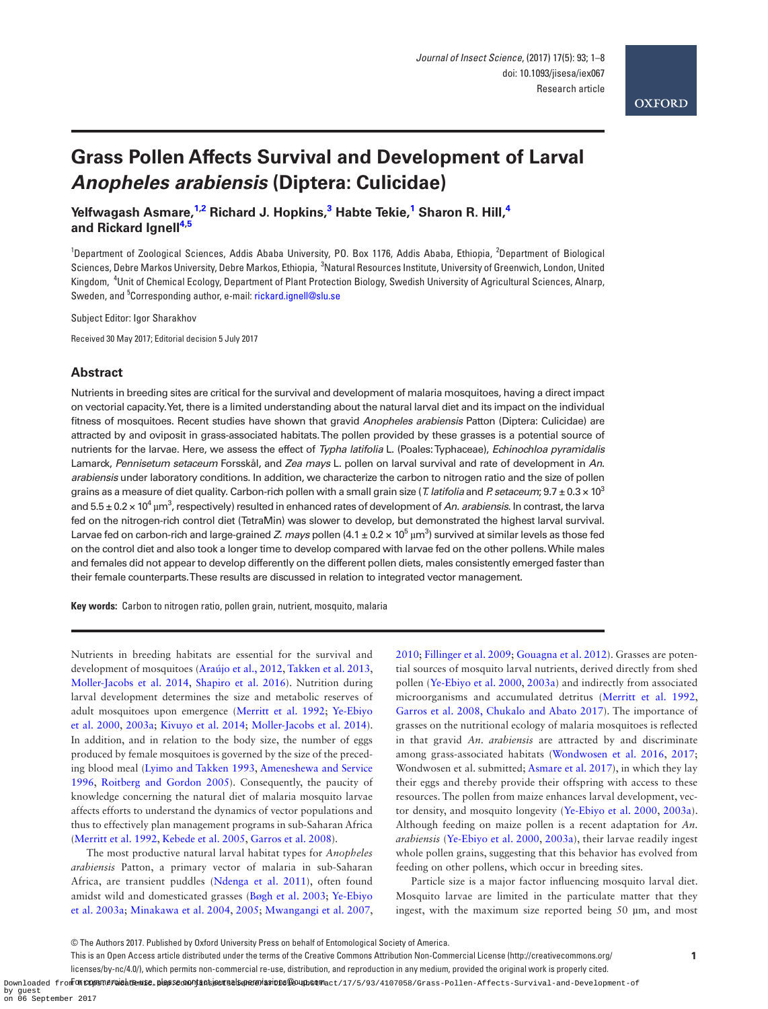

# **Grass Pollen Affects Survival and Development of Larval**  *Anopheles arabiensis* **(Diptera: Culicidae)**

**Yelfwagash Asmare, [1](#page-0-0)[,2](#page-0-1) Richard J. Hopkins, [3](#page-0-2) Habte Tekie, [1](#page-0-0) Sharon R. Hill, [4](#page-0-3) and Rickard Ignell[4](#page-0-3)[,5](#page-0-4)**

<span id="page-0-3"></span><span id="page-0-2"></span><span id="page-0-1"></span><span id="page-0-0"></span><sup>1</sup>Department of Zoological Sciences, Addis Ababa University, PO. Box 1176, Addis Ababa, Ethiopia, <sup>2</sup>Department of Biological Sciences, Debre Markos University, Debre Markos, Ethiopia, <sup>3</sup>Natural Resources Institute, University of Greenwich, London, United Kingdom, <sup>4</sup> Unit of Chemical Ecology, Department of Plant Protection Biology, Swedish University of Agricultural Sciences, Alnarp, Sweden, and <sup>5</sup>Corresponding author, e-mail: [rickard.ignell@slu.se](mailto:rickard.ignell@slu.se?subject=)

<span id="page-0-4"></span>Subject Editor: Igor Sharakhov

Received 30 May 2017; Editorial decision 5 July 2017

## **Abstract**

Nutrients in breeding sites are critical for the survival and development of malaria mosquitoes, having a direct impact on vectorial capacity. Yet, there is a limited understanding about the natural larval diet and its impact on the individual fitness of mosquitoes. Recent studies have shown that gravid *Anopheles arabiensis* Patton (Diptera: Culicidae) are attracted by and oviposit in grass-associated habitats. The pollen provided by these grasses is a potential source of nutrients for the larvae. Here, we assess the effect of *Typha latifolia* L. (Poales: Typhaceae), *Echinochloa pyramidalis* Lamarck, *Pennisetum setaceum* Forsskål, and *Zea mays* L. pollen on larval survival and rate of development in *An. arabiensis* under laboratory conditions. In addition, we characterize the carbon to nitrogen ratio and the size of pollen grains as a measure of diet quality. Carbon-rich pollen with a small grain size (*T. latifolia* and *P. setaceum*; 9.7 ± 0.3 × 103 and 5.5 ± 0.2 × 10<sup>4</sup> µm<sup>3</sup>, respectively) resulted in enhanced rates of development of *An. arabiensis*. In contrast, the larva fed on the nitrogen-rich control diet (TetraMin) was slower to develop, but demonstrated the highest larval survival. Larvae fed on carbon-rich and large-grained *Z. mays* pollen (4.1 ± 0.2 × 10<sup>5</sup> µm<sup>3</sup>) survived at similar levels as those fed on the control diet and also took a longer time to develop compared with larvae fed on the other pollens. While males and females did not appear to develop differently on the different pollen diets, males consistently emerged faster than their female counterparts. These results are discussed in relation to integrated vector management.

**Key words:** Carbon to nitrogen ratio, pollen grain, nutrient, mosquito, malaria

Nutrients in breeding habitats are essential for the survival and development of mosquitoes [\(Araújo et al., 2012](#page-6-0), [Takken et al. 2013](#page-7-0), [Moller-Jacobs et al. 2014](#page-6-1), [Shapiro et al. 2016\)](#page-7-1). Nutrition during larval development determines the size and metabolic reserves of adult mosquitoes upon emergence [\(Merritt et al. 1992](#page-6-2); [Ye-Ebiyo](#page-7-2) [et al. 2000,](#page-7-2) [2003a](#page-7-3); [Kivuyo et al. 2014](#page-6-3); [Moller-Jacobs et al. 2014](#page-6-1)). In addition, and in relation to the body size, the number of eggs produced by female mosquitoes is governed by the size of the preceding blood meal [\(Lyimo and Takken 1993,](#page-6-4) [Ameneshewa and Service](#page-6-5) [1996,](#page-6-5) [Roitberg and Gordon 2005\)](#page-7-4). Consequently, the paucity of knowledge concerning the natural diet of malaria mosquito larvae affects efforts to understand the dynamics of vector populations and thus to effectively plan management programs in sub-Saharan Africa ([Merritt et al. 1992,](#page-6-2) [Kebede et al. 2005](#page-6-6), [Garros et al. 2008](#page-6-7)).

The most productive natural larval habitat types for *Anopheles arabiensis* Patton, a primary vector of malaria in sub-Saharan Africa, are transient puddles ([Ndenga et al. 2011\)](#page-6-8), often found amidst wild and domesticated grasses ([Bøgh et al. 2003;](#page-6-9) [Ye-Ebiyo](#page-7-3) [et al. 2003a](#page-7-3); [Minakawa et al. 2004,](#page-6-10) [2005;](#page-6-11) [Mwangangi et al. 2007](#page-6-12),

[2010](#page-6-13); [Fillinger et al. 2009](#page-6-14); [Gouagna et al. 2012\)](#page-6-15). Grasses are potential sources of mosquito larval nutrients, derived directly from shed pollen ([Ye-Ebiyo et al. 2000,](#page-7-2) [2003a\)](#page-7-3) and indirectly from associated microorganisms and accumulated detritus [\(Merritt et al. 1992](#page-6-2), [Garros et al. 2008](#page-6-7), [Chukalo and Abato 2017\)](#page-6-16). The importance of grasses on the nutritional ecology of malaria mosquitoes is reflected in that gravid *An. arabiensis* are attracted by and discriminate among grass-associated habitats [\(Wondwosen et al. 2016](#page-7-5), [2017;](#page-7-6) Wondwosen et al. submitted; [Asmare et al. 2017\)](#page-6-17), in which they lay their eggs and thereby provide their offspring with access to these resources. The pollen from maize enhances larval development, vector density, and mosquito longevity [\(Ye-Ebiyo et al. 2000,](#page-7-2) [2003a](#page-7-3)). Although feeding on maize pollen is a recent adaptation for *An. arabiensis* ([Ye-Ebiyo et al. 2000](#page-7-2), [2003a\)](#page-7-3), their larvae readily ingest whole pollen grains, suggesting that this behavior has evolved from feeding on other pollens, which occur in breeding sites.

Particle size is a major factor influencing mosquito larval diet. Mosquito larvae are limited in the particulate matter that they ingest, with the maximum size reported being 50 µm, and most

**1**

This is an Open Access article distributed under the terms of the Creative Commons Attribution Non-Commercial License (http://creativecommons.org/

licenses/by-nc/4.0/), which permits non-commercial re-use, distribution, and reproduction in any medium, provided the original work is properly cited.

Downloaded from **UttQyBTPPGdakRmH90,Bl&8S8cRMji1GEj&BHB@DAFBMSEHD1S@OUHD60HBc**ett2/17/5/93/4107058/Grass-Pollen-Affects-Survival-and-Development-of by guest on 06 September 2017

<sup>©</sup> The Authors 2017. Published by Oxford University Press on behalf of Entomological Society of America.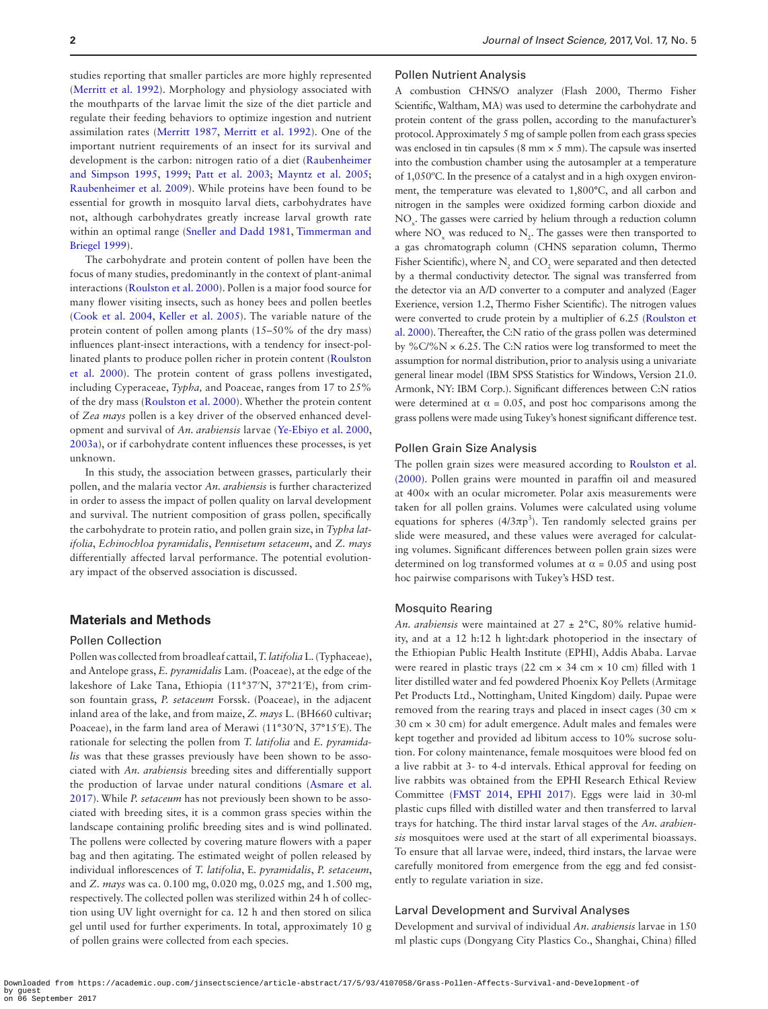studies reporting that smaller particles are more highly represented ([Merritt et al. 1992](#page-6-2)). Morphology and physiology associated with the mouthparts of the larvae limit the size of the diet particle and regulate their feeding behaviors to optimize ingestion and nutrient assimilation rates ([Merritt 1987](#page-6-18), [Merritt et al. 1992](#page-6-2)). One of the important nutrient requirements of an insect for its survival and development is the carbon: nitrogen ratio of a diet ([Raubenheimer](#page-7-7) [and Simpson 1995](#page-7-7), [1999;](#page-7-8) [Patt et al. 2003](#page-7-9); [Mayntz et al. 2005;](#page-6-19) [Raubenheimer et al. 2009](#page-7-10)). While proteins have been found to be essential for growth in mosquito larval diets, carbohydrates have not, although carbohydrates greatly increase larval growth rate within an optimal range [\(Sneller and Dadd 1981,](#page-7-11) [Timmerman and](#page-7-12) [Briegel 1999](#page-7-12)).

The carbohydrate and protein content of pollen have been the focus of many studies, predominantly in the context of plant-animal interactions ([Roulston et al. 2000\)](#page-7-13). Pollen is a major food source for many flower visiting insects, such as honey bees and pollen beetles ([Cook et al. 2004](#page-6-20), [Keller et al. 2005](#page-6-21)). The variable nature of the protein content of pollen among plants (15–50% of the dry mass) influences plant-insect interactions, with a tendency for insect-pollinated plants to produce pollen richer in protein content [\(Roulston](#page-7-13) [et al. 2000\)](#page-7-13). The protein content of grass pollens investigated, including Cyperaceae, *Typha,* and Poaceae, ranges from 17 to 25% of the dry mass [\(Roulston et al. 2000](#page-7-13)). Whether the protein content of *Zea mays* pollen is a key driver of the observed enhanced development and survival of *An. arabiensis* larvae [\(Ye-Ebiyo et al. 2000](#page-7-2), [2003a](#page-7-3)), or if carbohydrate content influences these processes, is yet unknown.

In this study, the association between grasses, particularly their pollen, and the malaria vector *An. arabiensis* is further characterized in order to assess the impact of pollen quality on larval development and survival. The nutrient composition of grass pollen, specifically the carbohydrate to protein ratio, and pollen grain size, in *Typha latifolia*, *Echinochloa pyramidalis*, *Pennisetum setaceum*, and *Z. mays* differentially affected larval performance. The potential evolutionary impact of the observed association is discussed.

## **Materials and Methods**

### Pollen Collection

Pollen was collected from broadleaf cattail, *T. latifolia* L. (Typhaceae), and Antelope grass, *E. pyramidalis* Lam. (Poaceae), at the edge of the lakeshore of Lake Tana, Ethiopia (11°37′N, 37°21′E), from crimson fountain grass, *P. setaceum* Forssk. (Poaceae), in the adjacent inland area of the lake, and from maize, *Z. mays* L. (BH660 cultivar; Poaceae), in the farm land area of Merawi (11°30′N, 37°15′E). The rationale for selecting the pollen from *T. latifolia* and *E. pyramidalis* was that these grasses previously have been shown to be associated with *An. arabiensis* breeding sites and differentially support the production of larvae under natural conditions [\(Asmare et al.](#page-6-17) [2017\)](#page-6-17). While *P. setaceum* has not previously been shown to be associated with breeding sites, it is a common grass species within the landscape containing prolific breeding sites and is wind pollinated. The pollens were collected by covering mature flowers with a paper bag and then agitating. The estimated weight of pollen released by individual inflorescences of *T. latifolia*, E*. pyramidalis*, *P. setaceum*, and *Z. mays* was ca. 0.100 mg, 0.020 mg, 0.025 mg, and 1.500 mg, respectively. The collected pollen was sterilized within 24 h of collection using UV light overnight for ca. 12 h and then stored on silica gel until used for further experiments. In total, approximately 10 g of pollen grains were collected from each species.

#### Pollen Nutrient Analysis

A combustion CHNS/O analyzer (Flash 2000, Thermo Fisher Scientific, Waltham, MA) was used to determine the carbohydrate and protein content of the grass pollen, according to the manufacturer's protocol. Approximately 5 mg of sample pollen from each grass species was enclosed in tin capsules (8 mm  $\times$  5 mm). The capsule was inserted into the combustion chamber using the autosampler at a temperature of 1,050ºC. In the presence of a catalyst and in a high oxygen environment, the temperature was elevated to 1,800°C, and all carbon and nitrogen in the samples were oxidized forming carbon dioxide and NO<sub>x</sub>. The gasses were carried by helium through a reduction column where  $NO_x$  was reduced to  $N_2$ . The gasses were then transported to a gas chromatograph column (CHNS separation column, Thermo Fisher Scientific), where  $N_2$  and  $CO_2$  were separated and then detected by a thermal conductivity detector. The signal was transferred from the detector via an A/D converter to a computer and analyzed (Eager Exerience, version 1.2, Thermo Fisher Scientific). The nitrogen values were converted to crude protein by a multiplier of 6.25 ([Roulston et](#page-7-13) [al. 2000](#page-7-13)). Thereafter, the C:N ratio of the grass pollen was determined by % $C\frac{9}{6}N \times 6.25$ . The C:N ratios were log transformed to meet the assumption for normal distribution, prior to analysis using a univariate general linear model (IBM SPSS Statistics for Windows, Version 21.0. Armonk, NY: IBM Corp.). Significant differences between C:N ratios were determined at  $\alpha = 0.05$ , and post hoc comparisons among the grass pollens were made using Tukey's honest significant difference test.

#### Pollen Grain Size Analysis

The pollen grain sizes were measured according to [Roulston et al.](#page-7-13) [\(2000\)](#page-7-13). Pollen grains were mounted in paraffin oil and measured at 400× with an ocular micrometer. Polar axis measurements were taken for all pollen grains. Volumes were calculated using volume equations for spheres  $(4/3\pi p^3)$ . Ten randomly selected grains per slide were measured, and these values were averaged for calculating volumes. Significant differences between pollen grain sizes were determined on log transformed volumes at  $\alpha$  = 0.05 and using post hoc pairwise comparisons with Tukey's HSD test.

## Mosquito Rearing

*An. arabiensis* were maintained at 27 ± 2°C, 80% relative humidity, and at a 12 h:12 h light:dark photoperiod in the insectary of the Ethiopian Public Health Institute (EPHI), Addis Ababa. Larvae were reared in plastic trays (22 cm × 34 cm × 10 cm) filled with 1 liter distilled water and fed powdered Phoenix Koy Pellets (Armitage Pet Products Ltd., Nottingham, United Kingdom) daily. Pupae were removed from the rearing trays and placed in insect cages (30 cm × 30 cm × 30 cm) for adult emergence. Adult males and females were kept together and provided ad libitum access to 10% sucrose solution. For colony maintenance, female mosquitoes were blood fed on a live rabbit at 3- to 4-d intervals. Ethical approval for feeding on live rabbits was obtained from the EPHI Research Ethical Review Committee [\(FMST 2014](#page-6-22), [EPHI 2017\)](#page-6-23). Eggs were laid in 30-ml plastic cups filled with distilled water and then transferred to larval trays for hatching. The third instar larval stages of the *An. arabiensis* mosquitoes were used at the start of all experimental bioassays. To ensure that all larvae were, indeed, third instars, the larvae were carefully monitored from emergence from the egg and fed consistently to regulate variation in size.

#### Larval Development and Survival Analyses

Development and survival of individual *An. arabiensis* larvae in 150 ml plastic cups (Dongyang City Plastics Co., Shanghai, China) filled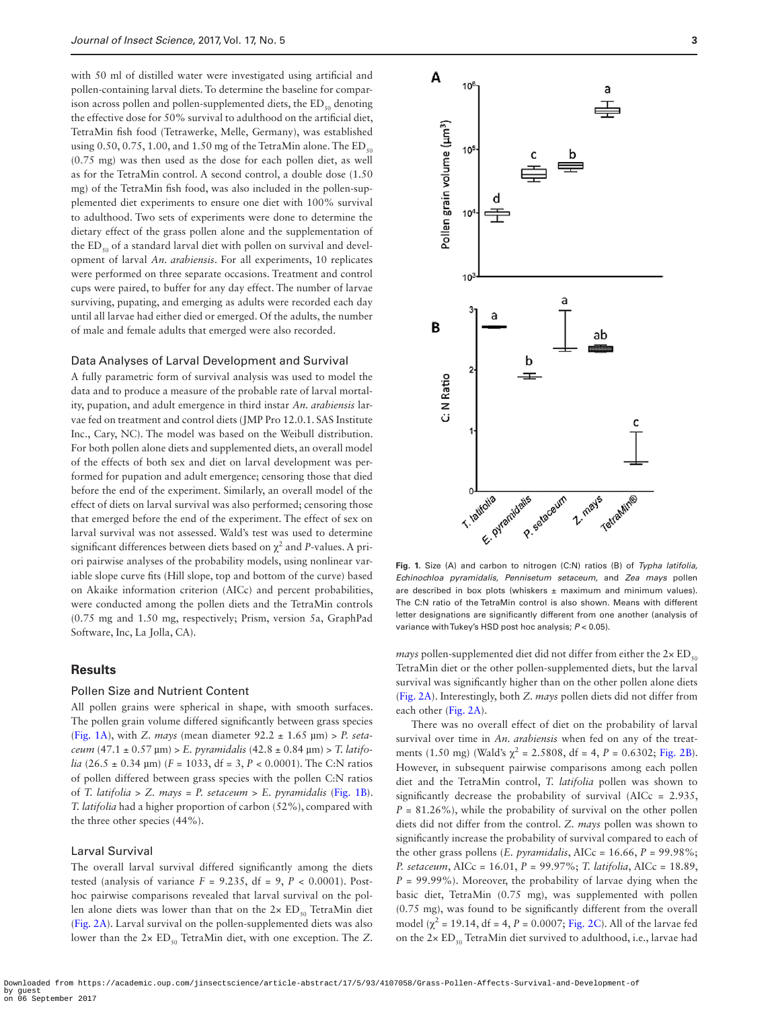with 50 ml of distilled water were investigated using artificial and pollen-containing larval diets. To determine the baseline for comparison across pollen and pollen-supplemented diets, the  $ED_{50}$  denoting the effective dose for 50% survival to adulthood on the artificial diet, TetraMin fish food (Tetrawerke, Melle, Germany), was established using 0.50, 0.75, 1.00, and 1.50 mg of the TetraMin alone. The  $ED<sub>50</sub>$ (0.75 mg) was then used as the dose for each pollen diet, as well as for the TetraMin control. A second control, a double dose (1.50 mg) of the TetraMin fish food, was also included in the pollen-supplemented diet experiments to ensure one diet with 100% survival to adulthood. Two sets of experiments were done to determine the dietary effect of the grass pollen alone and the supplementation of the  $ED_{50}$  of a standard larval diet with pollen on survival and development of larval *An. arabiensis*. For all experiments, 10 replicates were performed on three separate occasions. Treatment and control cups were paired, to buffer for any day effect. The number of larvae surviving, pupating, and emerging as adults were recorded each day until all larvae had either died or emerged. Of the adults, the number of male and female adults that emerged were also recorded.

#### Data Analyses of Larval Development and Survival

A fully parametric form of survival analysis was used to model the data and to produce a measure of the probable rate of larval mortality, pupation, and adult emergence in third instar *An. arabiensis* larvae fed on treatment and control diets (JMP Pro 12.0.1. SAS Institute Inc., Cary, NC). The model was based on the Weibull distribution. For both pollen alone diets and supplemented diets, an overall model of the effects of both sex and diet on larval development was performed for pupation and adult emergence; censoring those that died before the end of the experiment. Similarly, an overall model of the effect of diets on larval survival was also performed; censoring those that emerged before the end of the experiment. The effect of sex on larval survival was not assessed. Wald's test was used to determine significant differences between diets based on  $\chi^2$  and *P*-values. A priori pairwise analyses of the probability models, using nonlinear variable slope curve fits (Hill slope, top and bottom of the curve) based on Akaike information criterion (AICc) and percent probabilities, were conducted among the pollen diets and the TetraMin controls (0.75 mg and 1.50 mg, respectively; Prism, version 5a, GraphPad Software, Inc, La Jolla, CA).

## **Results**

## Pollen Size and Nutrient Content

All pollen grains were spherical in shape, with smooth surfaces. The pollen grain volume differed significantly between grass species ([Fig. 1A\)](#page-2-0), with *Z. mays* (mean diameter 92.2 ± 1.65 µm) > *P. setaceum* (47.1 ± 0.57 µm) > *E. pyramidalis* (42.8 ± 0.84 µm) > *T. latifolia* (26.5 ± 0.34 µm) (*F* = 1033, df = 3, *P* < 0.0001). The C:N ratios of pollen differed between grass species with the pollen C:N ratios of *T. latifolia > Z. mays* = *P. setaceum* > *E. pyramidalis* [\(Fig. 1B](#page-2-0)). *T. latifolia* had a higher proportion of carbon (52%), compared with the three other species (44%).

## Larval Survival

The overall larval survival differed significantly among the diets tested (analysis of variance  $F = 9.235$ , df = 9,  $P < 0.0001$ ). Posthoc pairwise comparisons revealed that larval survival on the pollen alone diets was lower than that on the  $2 \times ED_{50}$  TetraMin diet ([Fig. 2A\)](#page-3-0). Larval survival on the pollen-supplemented diets was also lower than the 2× ED<sub>50</sub> TetraMin diet, with one exception. The *Z*.



<span id="page-2-0"></span>**Fig. 1.** Size (A) and carbon to nitrogen (C:N) ratios (B) of *Typha latifolia, Echinochloa pyramidalis, Pennisetum setaceum,* and *Zea mays* pollen are described in box plots (whiskers  $\pm$  maximum and minimum values). The C:N ratio of the TetraMin control is also shown. Means with different letter designations are significantly different from one another (analysis of variance with Tukey's HSD post hoc analysis; *P* < 0.05).

*mays* pollen-supplemented diet did not differ from either the  $2 \times ED_{50}$ TetraMin diet or the other pollen-supplemented diets, but the larval survival was significantly higher than on the other pollen alone diets ([Fig. 2A\)](#page-3-0). Interestingly, both *Z. mays* pollen diets did not differ from each other ([Fig. 2A](#page-3-0)).

There was no overall effect of diet on the probability of larval survival over time in *An. arabiensis* when fed on any of the treatments (1.50 mg) (Wald's  $\chi^2$  = 2.5808, df = 4, *P* = 0.6302; [Fig. 2B](#page-3-0)). However, in subsequent pairwise comparisons among each pollen diet and the TetraMin control, *T. latifolia* pollen was shown to significantly decrease the probability of survival (AICc = 2.935,  $P = 81.26\%$ , while the probability of survival on the other pollen diets did not differ from the control. *Z. mays* pollen was shown to significantly increase the probability of survival compared to each of the other grass pollens (*E. pyramidalis*, AICc = 16.66, *P* = 99.98%; *P. setaceum*, AICc = 16.01, *P* = 99.97%; *T. latifolia*, AICc = 18.89,  $P = 99.99\%$ ). Moreover, the probability of larvae dying when the basic diet, TetraMin (0.75 mg), was supplemented with pollen (0.75 mg), was found to be significantly different from the overall model ( $χ² = 19.14$ , df = 4, *P* = 0.0007; [Fig. 2C](#page-3-0)). All of the larvae fed on the  $2 \times ED_{50}$  TetraMin diet survived to adulthood, i.e., larvae had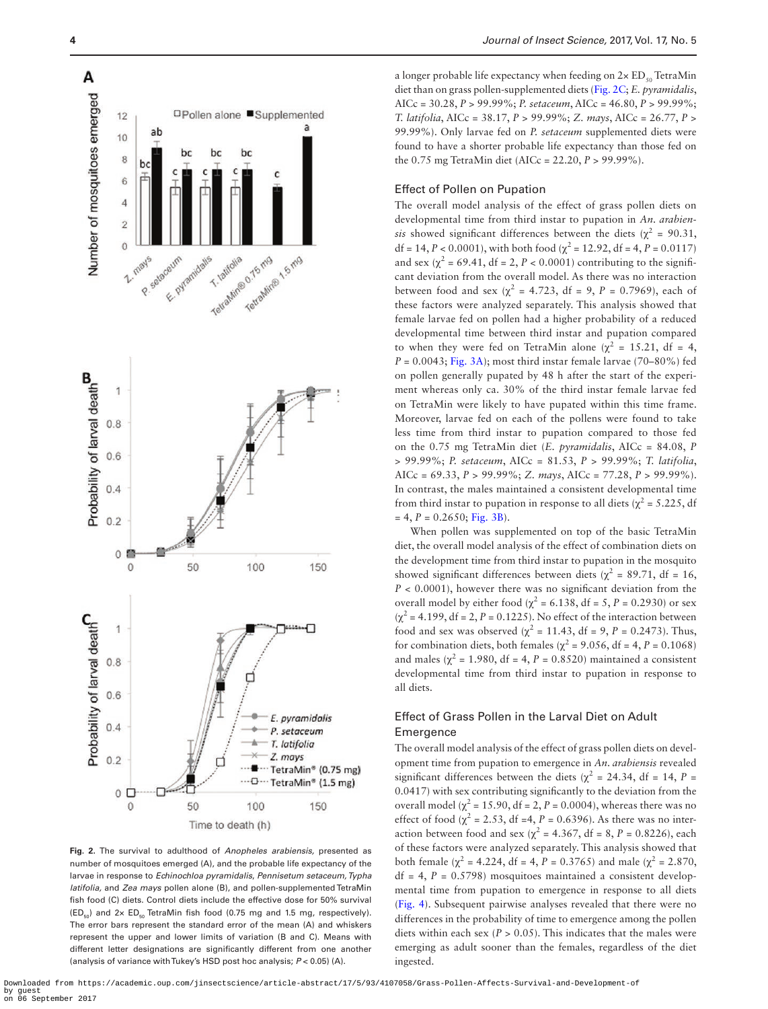



<span id="page-3-0"></span>**Fig. 2.** The survival to adulthood of *Anopheles arabiensis,* presented as number of mosquitoes emerged (A), and the probable life expectancy of the larvae in response to *Echinochloa pyramidalis*, *Pennisetum setaceum, Typha latifolia,* and *Zea mays* pollen alone (B), and pollen-supplemented TetraMin fish food (C) diets. Control diets include the effective dose for 50% survival  $(ED_{50})$  and  $2 \times ED_{50}$  TetraMin fish food (0.75 mg and 1.5 mg, respectively). The error bars represent the standard error of the mean (A) and whiskers represent the upper and lower limits of variation (B and C). Means with different letter designations are significantly different from one another (analysis of variance with Tukey's HSD post hoc analysis; *P* < 0.05) (A).

a longer probable life expectancy when feeding on  $2 \times ED_{50}$  TetraMin diet than on grass pollen-supplemented diets ([Fig. 2C](#page-3-0); *E. pyramidalis*, AICc = 30.28, *P* > 99.99%; *P. setaceum*, AICc = 46.80, *P* > 99.99%; *T. latifolia*, AICc = 38.17, *P* > 99.99%; *Z. mays*, AICc = 26.77, *P* > 99.99%). Only larvae fed on *P. setaceum* supplemented diets were found to have a shorter probable life expectancy than those fed on the 0.75 mg TetraMin diet (AICc = 22.20, *P* > 99.99%).

## Effect of Pollen on Pupation

The overall model analysis of the effect of grass pollen diets on developmental time from third instar to pupation in *An. arabiensis* showed significant differences between the diets ( $\chi^2$  = 90.31, df = 14, *P* < 0.0001), with both food ( $\chi^2$  = 12.92, df = 4, *P* = 0.0117) and sex ( $\chi^2$  = 69.41, df = 2, *P* < 0.0001) contributing to the significant deviation from the overall model. As there was no interaction between food and sex ( $\chi^2$  = 4.723, df = 9, *P* = 0.7969), each of these factors were analyzed separately. This analysis showed that female larvae fed on pollen had a higher probability of a reduced developmental time between third instar and pupation compared to when they were fed on TetraMin alone ( $\chi^2$  = 15.21, df = 4,  $P = 0.0043$ ; [Fig. 3A\)](#page-4-0); most third instar female larvae (70–80%) fed on pollen generally pupated by 48 h after the start of the experiment whereas only ca. 30% of the third instar female larvae fed on TetraMin were likely to have pupated within this time frame. Moreover, larvae fed on each of the pollens were found to take less time from third instar to pupation compared to those fed on the 0.75 mg TetraMin diet (*E. pyramidalis*, AICc = 84.08, *P* > 99.99%; *P. setaceum*, AICc = 81.53, *P* > 99.99%; *T. latifolia*, AICc = 69.33, *P* > 99.99%; *Z. mays*, AICc = 77.28, *P* > 99.99%). In contrast, the males maintained a consistent developmental time from third instar to pupation in response to all diets ( $\chi^2$  = 5.225, df  $= 4, P = 0.2650; Fig. 3B$ .

When pollen was supplemented on top of the basic TetraMin diet, the overall model analysis of the effect of combination diets on the development time from third instar to pupation in the mosquito showed significant differences between diets ( $\chi^2$  = 89.71, df = 16, *P* < 0.0001), however there was no significant deviation from the overall model by either food ( $\chi^2$  = 6.138, df = 5, *P* = 0.2930) or sex  $(\chi^2 = 4.199, df = 2, P = 0.1225)$ . No effect of the interaction between food and sex was observed ( $\chi^2$  = 11.43, df = 9, *P* = 0.2473). Thus, for combination diets, both females ( $\chi^2$  = 9.056, df = 4, *P* = 0.1068) and males ( $\chi^2$  = 1.980, df = 4, *P* = 0.8520) maintained a consistent developmental time from third instar to pupation in response to all diets.

# Effect of Grass Pollen in the Larval Diet on Adult Emergence

The overall model analysis of the effect of grass pollen diets on development time from pupation to emergence in *An. arabiensis* revealed significant differences between the diets ( $\chi^2$  = 24.34, df = 14, P = 0.0417) with sex contributing significantly to the deviation from the overall model ( $\chi^2$  = 15.90, df = 2, *P* = 0.0004), whereas there was no effect of food ( $\chi^2$  = 2.53, df =4, *P* = 0.6396). As there was no interaction between food and sex ( $\chi^2$  = 4.367, df = 8, *P* = 0.8226), each of these factors were analyzed separately. This analysis showed that both female ( $\chi^2$  = 4.224, df = 4, *P* = 0.3765) and male ( $\chi^2$  = 2.870,  $df = 4$ ,  $P = 0.5798$ ) mosquitoes maintained a consistent developmental time from pupation to emergence in response to all diets ([Fig. 4](#page-5-0)). Subsequent pairwise analyses revealed that there were no differences in the probability of time to emergence among the pollen diets within each sex ( $P > 0.05$ ). This indicates that the males were emerging as adult sooner than the females, regardless of the diet ingested.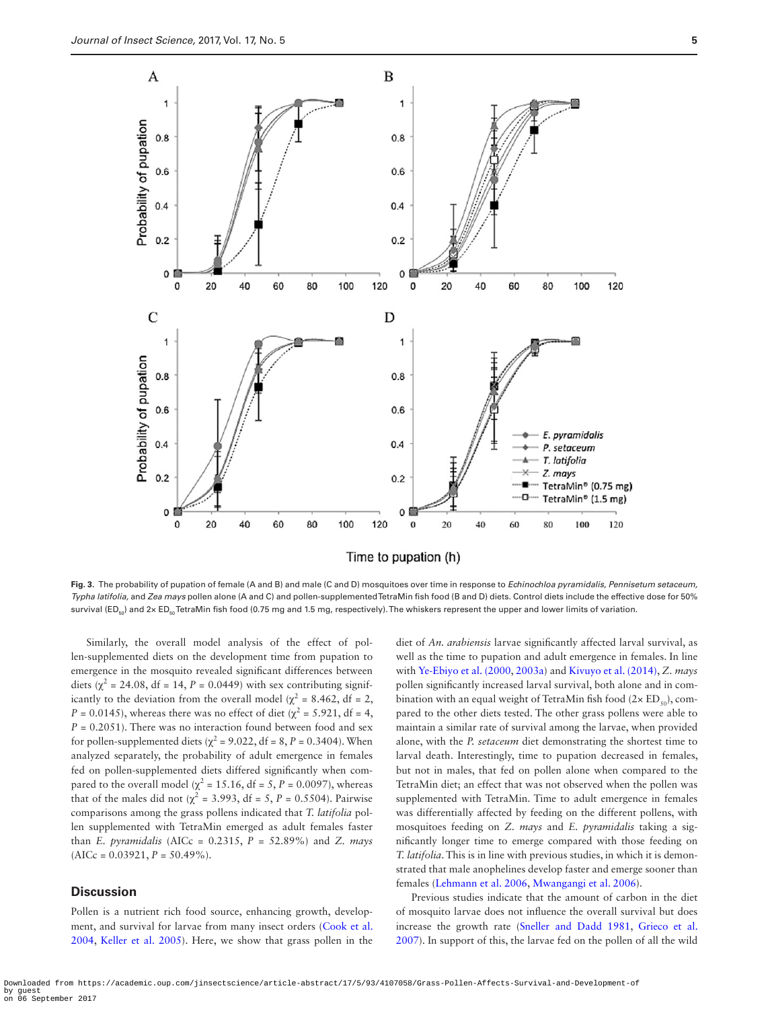

<span id="page-4-0"></span>**Fig. 3.** The probability of pupation of female (A and B) and male (C and D) mosquitoes over time in response to *Echinochloa pyramidalis*, *Pennisetum setaceum, Typha latifolia,* and *Zea mays* pollen alone (A and C) and pollen-supplemented TetraMin fish food (B and D) diets. Control diets include the effective dose for 50% survival (ED<sub>E0</sub>) and 2x ED<sub>E0</sub> TetraMin fish food (0.75 mg and 1.5 mg, respectively). The whiskers represent the upper and lower limits of variation.

Similarly, the overall model analysis of the effect of pollen-supplemented diets on the development time from pupation to emergence in the mosquito revealed significant differences between diets ( $\chi^2$  = 24.08, df = 14, *P* = 0.0449) with sex contributing significantly to the deviation from the overall model ( $\chi^2$  = 8.462, df = 2, *P* = 0.0145), whereas there was no effect of diet ( $\chi^2$  = 5.921, df = 4, *P =* 0.2051). There was no interaction found between food and sex for pollen-supplemented diets ( $\chi^2$  = 9.022, df = 8, *P* = 0.3404). When analyzed separately, the probability of adult emergence in females fed on pollen-supplemented diets differed significantly when compared to the overall model ( $\chi^2$  = 15.16, df = 5, *P* = 0.0097), whereas that of the males did not ( $\chi^2$  = 3.993, df = 5, *P* = 0.5504). Pairwise comparisons among the grass pollens indicated that *T. latifolia* pollen supplemented with TetraMin emerged as adult females faster than *E. pyramidalis* (AICc = 0.2315, *P* = 52.89%) and *Z. mays*  $(AICc = 0.03921, P = 50.49\%).$ 

# **Discussion**

Pollen is a nutrient rich food source, enhancing growth, development, and survival for larvae from many insect orders [\(Cook et al.](#page-6-20) [2004,](#page-6-20) [Keller et al. 2005\)](#page-6-21). Here, we show that grass pollen in the diet of *An. arabiensis* larvae significantly affected larval survival, as well as the time to pupation and adult emergence in females. In line with [Ye-Ebiyo et al. \(2000](#page-7-2), [2003a\)](#page-7-3) and [Kivuyo et al. \(2014\),](#page-6-3) *Z. mays* pollen significantly increased larval survival, both alone and in combination with an equal weight of TetraMin fish food ( $2 \times ED_{50}$ ), compared to the other diets tested. The other grass pollens were able to maintain a similar rate of survival among the larvae, when provided alone, with the *P. setaceum* diet demonstrating the shortest time to larval death. Interestingly, time to pupation decreased in females, but not in males, that fed on pollen alone when compared to the TetraMin diet; an effect that was not observed when the pollen was supplemented with TetraMin. Time to adult emergence in females was differentially affected by feeding on the different pollens, with mosquitoes feeding on *Z. mays* and *E. pyramidalis* taking a significantly longer time to emerge compared with those feeding on *T. latifolia*. This is in line with previous studies, in which it is demonstrated that male anophelines develop faster and emerge sooner than females ([Lehmann et al. 2006](#page-6-24), [Mwangangi et al. 2006](#page-6-25)).

Previous studies indicate that the amount of carbon in the diet of mosquito larvae does not influence the overall survival but does increase the growth rate [\(Sneller and Dadd 1981,](#page-7-11) [Grieco et al.](#page-6-26) [2007\)](#page-6-26). In support of this, the larvae fed on the pollen of all the wild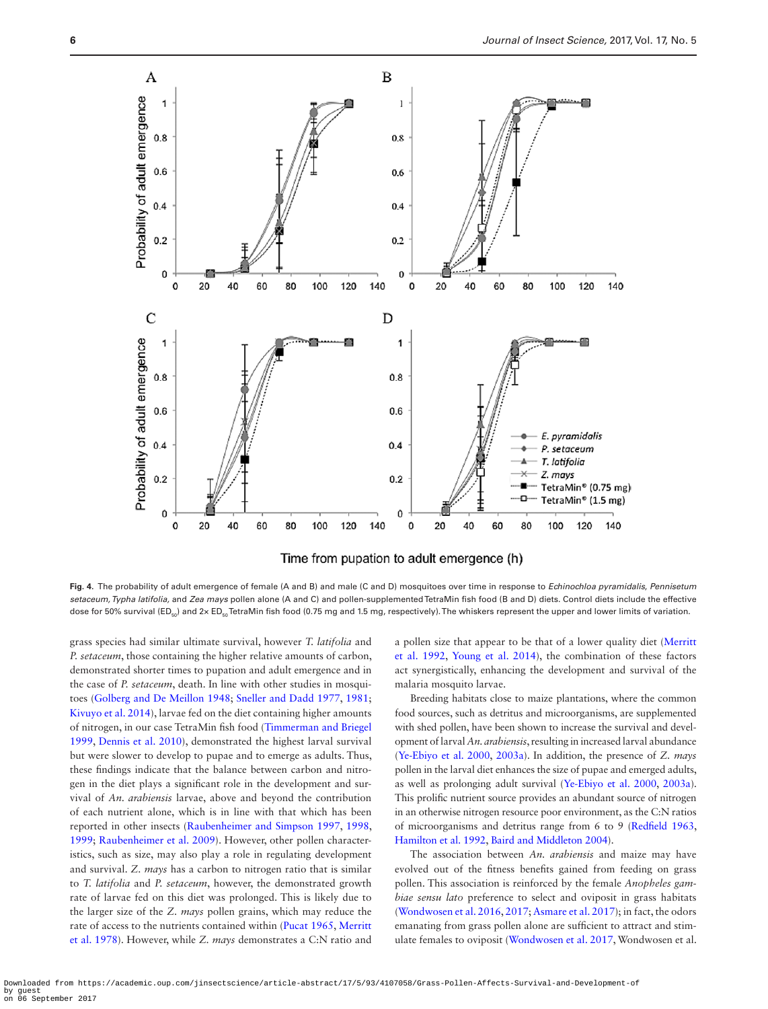

<span id="page-5-0"></span>**Fig. 4.** The probability of adult emergence of female (A and B) and male (C and D) mosquitoes over time in response to *Echinochloa pyramidalis*, *Pennisetum setaceum, Typha latifolia,* and *Zea mays* pollen alone (A and C) and pollen-supplemented TetraMin fish food (B and D) diets. Control diets include the effective dose for 50% survival (ED<sub>50</sub>) and 2x ED<sub>50</sub> TetraMin fish food (0.75 mg and 1.5 mg, respectively). The whiskers represent the upper and lower limits of variation.

grass species had similar ultimate survival, however *T. latifolia* and *P. setaceum*, those containing the higher relative amounts of carbon, demonstrated shorter times to pupation and adult emergence and in the case of *P. setaceum*, death. In line with other studies in mosquitoes [\(Golberg and De Meillon 1948;](#page-6-27) [Sneller and Dadd 1977,](#page-7-14) [1981;](#page-7-11) [Kivuyo et al. 2014\)](#page-6-3), larvae fed on the diet containing higher amounts of nitrogen, in our case TetraMin fish food [\(Timmerman and Briegel](#page-7-12) [1999,](#page-7-12) [Dennis et al. 2010](#page-6-28)), demonstrated the highest larval survival but were slower to develop to pupae and to emerge as adults. Thus, these findings indicate that the balance between carbon and nitrogen in the diet plays a significant role in the development and survival of *An. arabiensis* larvae, above and beyond the contribution of each nutrient alone, which is in line with that which has been reported in other insects [\(Raubenheimer and Simpson 1997,](#page-7-15) [1998](#page-7-16), [1999;](#page-7-8) [Raubenheimer et al. 2009\)](#page-7-10). However, other pollen characteristics, such as size, may also play a role in regulating development and survival. *Z. mays* has a carbon to nitrogen ratio that is similar to *T. latifolia* and *P. setaceum*, however, the demonstrated growth rate of larvae fed on this diet was prolonged. This is likely due to the larger size of the *Z. mays* pollen grains, which may reduce the rate of access to the nutrients contained within ([Pucat 1965,](#page-7-17) [Merritt](#page-6-29) [et al. 1978](#page-6-29)). However, while *Z. mays* demonstrates a C:N ratio and a pollen size that appear to be that of a lower quality diet ([Merritt](#page-6-2) [et al. 1992](#page-6-2), [Young et al. 2014\)](#page-7-18), the combination of these factors act synergistically, enhancing the development and survival of the malaria mosquito larvae.

Breeding habitats close to maize plantations, where the common food sources, such as detritus and microorganisms, are supplemented with shed pollen, have been shown to increase the survival and development of larval *An. arabiensis*, resulting in increased larval abundance ([Ye-Ebiyo et al. 2000,](#page-7-2) [2003a](#page-7-3)). In addition, the presence of *Z. mays* pollen in the larval diet enhances the size of pupae and emerged adults, as well as prolonging adult survival [\(Ye-Ebiyo et al. 2000](#page-7-2), [2003a\)](#page-7-3). This prolific nutrient source provides an abundant source of nitrogen in an otherwise nitrogen resource poor environment, as the C:N ratios of microorganisms and detritus range from 6 to 9 [\(Redfield 1963](#page-7-19), [Hamilton et al. 1992,](#page-6-30) [Baird and Middleton 2004](#page-6-31)).

The association between *An. arabiensis* and maize may have evolved out of the fitness benefits gained from feeding on grass pollen. This association is reinforced by the female *Anopheles gambiae sensu lato* preference to select and oviposit in grass habitats ([Wondwosen et al. 2016](#page-7-5), [2017;](#page-7-6) [Asmare et al. 2017\)](#page-6-17); in fact, the odors emanating from grass pollen alone are sufficient to attract and stimulate females to oviposit ([Wondwosen et al. 2017](#page-7-6), Wondwosen et al.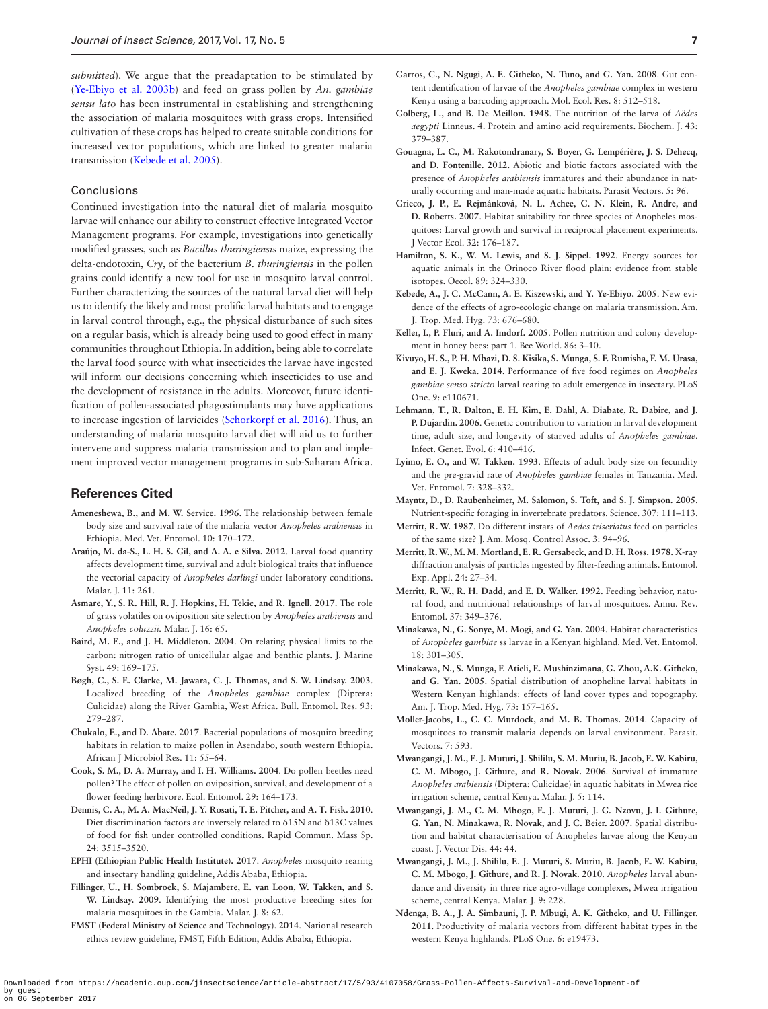*submitted*). We argue that the preadaptation to be stimulated by ([Ye-Ebiyo et al. 2003b\)](#page-7-20) and feed on grass pollen by *An. gambiae sensu lato* has been instrumental in establishing and strengthening the association of malaria mosquitoes with grass crops. Intensified cultivation of these crops has helped to create suitable conditions for increased vector populations, which are linked to greater malaria transmission [\(Kebede et al. 2005\)](#page-6-6).

#### Conclusions

Continued investigation into the natural diet of malaria mosquito larvae will enhance our ability to construct effective Integrated Vector Management programs. For example, investigations into genetically modified grasses, such as *Bacillus thuringiensis* maize, expressing the delta-endotoxin, *Cry*, of the bacterium *B. thuringiensis* in the pollen grains could identify a new tool for use in mosquito larval control. Further characterizing the sources of the natural larval diet will help us to identify the likely and most prolific larval habitats and to engage in larval control through, e.g., the physical disturbance of such sites on a regular basis, which is already being used to good effect in many communities throughout Ethiopia. In addition, being able to correlate the larval food source with what insecticides the larvae have ingested will inform our decisions concerning which insecticides to use and the development of resistance in the adults. Moreover, future identification of pollen-associated phagostimulants may have applications to increase ingestion of larvicides ([Schorkorpf et al. 2016](#page-7-21)). Thus, an understanding of malaria mosquito larval diet will aid us to further intervene and suppress malaria transmission and to plan and implement improved vector management programs in sub-Saharan Africa.

## **References Cited**

- <span id="page-6-5"></span>**Ameneshewa, B., and M. W. Service. 1996**. The relationship between female body size and survival rate of the malaria vector *Anopheles arabiensis* in Ethiopia. Med. Vet. Entomol. 10: 170–172.
- <span id="page-6-0"></span>**Araújo, M. da-S., L. H. S. Gil, and A. A. e Silva. 2012**. Larval food quantity affects development time, survival and adult biological traits that influence the vectorial capacity of *Anopheles darlingi* under laboratory conditions. Malar. J. 11: 261.
- <span id="page-6-17"></span>**Asmare, Y., S. R. Hill, R. J. Hopkins, H. Tekie, and R. Ignell. 2017**. The role of grass volatiles on oviposition site selection by *Anopheles arabiensis* and *Anopheles coluzzii.* Malar. J. 16: 65.
- <span id="page-6-31"></span>**Baird, M. E., and J. H. Middleton. 2004**. On relating physical limits to the carbon: nitrogen ratio of unicellular algae and benthic plants. J. Marine Syst. 49: 169–175.
- <span id="page-6-9"></span>**Bøgh, C., S. E. Clarke, M. Jawara, C. J. Thomas, and S. W. Lindsay. 2003**. Localized breeding of the *Anopheles gambiae* complex (Diptera: Culicidae) along the River Gambia, West Africa. Bull. Entomol. Res. 93: 279–287.
- <span id="page-6-16"></span>**Chukalo, E., and D. Abate. 2017**. Bacterial populations of mosquito breeding habitats in relation to maize pollen in Asendabo, south western Ethiopia. African J Microbiol Res. 11: 55–64.
- <span id="page-6-20"></span>**Cook, S. M., D. A. Murray, and I. H. Williams. 2004**. Do pollen beetles need pollen? The effect of pollen on oviposition, survival, and development of a flower feeding herbivore. Ecol. Entomol. 29: 164–173.
- <span id="page-6-28"></span>**Dennis, C. A., M. A. MacNeil, J. Y. Rosati, T. E. Pitcher, and A. T. Fisk. 2010**. Diet discrimination factors are inversely related to δ15N and δ13C values of food for fish under controlled conditions. Rapid Commun. Mass Sp. 24: 3515–3520.
- <span id="page-6-23"></span>**EPHI (Ethiopian Public Health Institute). 2017**. *Anopheles* mosquito rearing and insectary handling guideline, Addis Ababa, Ethiopia.
- <span id="page-6-14"></span>**Fillinger, U., H. Sombroek, S. Majambere, E. van Loon, W. Takken, and S. W. Lindsay. 2009**. Identifying the most productive breeding sites for malaria mosquitoes in the Gambia. Malar. J. 8: 62.
- <span id="page-6-22"></span>**FMST (Federal Ministry of Science and Technology)**. **2014**. National research ethics review guideline, FMST, Fifth Edition, Addis Ababa, Ethiopia.
- <span id="page-6-7"></span>**Garros, C., N. Ngugi, A. E. Githeko, N. Tuno, and G. Yan. 2008**. Gut content identification of larvae of the *Anopheles gambiae* complex in western Kenya using a barcoding approach. Mol. Ecol. Res. 8: 512–518.
- <span id="page-6-27"></span>**Golberg, L., and B. De Meillon. 1948**. The nutrition of the larva of *Aëdes aegypti* Linneus. 4. Protein and amino acid requirements. Biochem. J. 43: 379–387.
- <span id="page-6-15"></span>**Gouagna, L. C., M. Rakotondranary, S. Boyer, G. Lempérière, J. S. Dehecq, and D. Fontenille. 2012**. Abiotic and biotic factors associated with the presence of *Anopheles arabiensis* immatures and their abundance in naturally occurring and man-made aquatic habitats. Parasit Vectors. 5: 96.
- <span id="page-6-26"></span>**Grieco, J. P., E. Rejmánková, N. L. Achee, C. N. Klein, R. Andre, and D. Roberts. 2007**. Habitat suitability for three species of Anopheles mosquitoes: Larval growth and survival in reciprocal placement experiments. J Vector Ecol. 32: 176–187.
- <span id="page-6-30"></span>**Hamilton, S. K., W. M. Lewis, and S. J. Sippel. 1992**. Energy sources for aquatic animals in the Orinoco River flood plain: evidence from stable isotopes. Oecol. 89: 324–330.
- <span id="page-6-6"></span>**Kebede, A., J. C. McCann, A. E. Kiszewski, and Y. Ye-Ebiyo. 2005**. New evidence of the effects of agro-ecologic change on malaria transmission. Am. J. Trop. Med. Hyg. 73: 676–680.
- <span id="page-6-21"></span>**Keller, I., P. Fluri, and A. Imdorf. 2005**. Pollen nutrition and colony development in honey bees: part 1. Bee World. 86: 3–10.
- <span id="page-6-3"></span>**Kivuyo, H. S., P. H. Mbazi, D. S. Kisika, S. Munga, S. F. Rumisha, F. M. Urasa, and E. J. Kweka. 2014**. Performance of five food regimes on *Anopheles gambiae senso stricto* larval rearing to adult emergence in insectary. PLoS One. 9: e110671.
- <span id="page-6-24"></span>**Lehmann, T., R. Dalton, E. H. Kim, E. Dahl, A. Diabate, R. Dabire, and J. P. Dujardin. 2006**. Genetic contribution to variation in larval development time, adult size, and longevity of starved adults of *Anopheles gambiae*. Infect. Genet. Evol. 6: 410–416.
- <span id="page-6-4"></span>**Lyimo, E. O., and W. Takken. 1993**. Effects of adult body size on fecundity and the pre-gravid rate of *Anopheles gambiae* females in Tanzania. Med. Vet. Entomol. 7: 328–332.
- <span id="page-6-19"></span>**Mayntz, D., D. Raubenheimer, M. Salomon, S. Toft, and S. J. Simpson. 2005**. Nutrient-specific foraging in invertebrate predators. Science. 307: 111–113.
- <span id="page-6-18"></span>**Merritt, R. W. 1987**. Do different instars of *Aedes triseriatus* feed on particles of the same size? J. Am. Mosq. Control Assoc. 3: 94–96.
- <span id="page-6-29"></span>**Merritt, R. W., M. M. Mortland, E. R. Gersabeck, and D. H. Ross. 1978**. X-ray diffraction analysis of particles ingested by filter-feeding animals. Entomol. Exp. Appl. 24: 27–34.
- <span id="page-6-2"></span>**Merritt, R. W., R. H. Dadd, and E. D. Walker. 1992**. Feeding behavior, natural food, and nutritional relationships of larval mosquitoes. Annu. Rev. Entomol. 37: 349–376.
- <span id="page-6-10"></span>**Minakawa, N., G. Sonye, M. Mogi, and G. Yan. 2004**. Habitat characteristics of *Anopheles gambiae* ss larvae in a Kenyan highland. Med. Vet. Entomol. 18: 301–305.
- <span id="page-6-11"></span>**Minakawa, N., S. Munga, F. Atieli, E. Mushinzimana, G. Zhou, A.K. Githeko, and G. Yan. 2005**. Spatial distribution of anopheline larval habitats in Western Kenyan highlands: effects of land cover types and topography. Am. J. Trop. Med. Hyg. 73: 157–165.
- <span id="page-6-1"></span>**Moller-Jacobs, L., C. C. Murdock, and M. B. Thomas. 2014**. Capacity of mosquitoes to transmit malaria depends on larval environment. Parasit. Vectors. 7: 593.
- <span id="page-6-25"></span>**Mwangangi, J. M., E. J. Muturi, J. Shililu, S. M. Muriu, B. Jacob, E. W. Kabiru, C. M. Mbogo, J. Githure, and R. Novak. 2006**. Survival of immature *Anopheles arabiensis* (Diptera: Culicidae) in aquatic habitats in Mwea rice irrigation scheme, central Kenya. Malar. J. 5: 114.
- <span id="page-6-12"></span>**Mwangangi, J. M., C. M. Mbogo, E. J. Muturi, J. G. Nzovu, J. I. Githure, G. Yan, N. Minakawa, R. Novak, and J. C. Beier. 2007**. Spatial distribution and habitat characterisation of Anopheles larvae along the Kenyan coast. J. Vector Dis. 44: 44.
- <span id="page-6-13"></span>**Mwangangi, J. M., J. Shililu, E. J. Muturi, S. Muriu, B. Jacob, E. W. Kabiru, C. M. Mbogo, J. Githure, and R. J. Novak. 2010**. *Anopheles* larval abundance and diversity in three rice agro-village complexes, Mwea irrigation scheme, central Kenya. Malar. J. 9: 228.
- <span id="page-6-8"></span>**Ndenga, B. A., J. A. Simbauni, J. P. Mbugi, A. K. Githeko, and U. Fillinger. 2011**. Productivity of malaria vectors from different habitat types in the western Kenya highlands. PLoS One. 6: e19473.